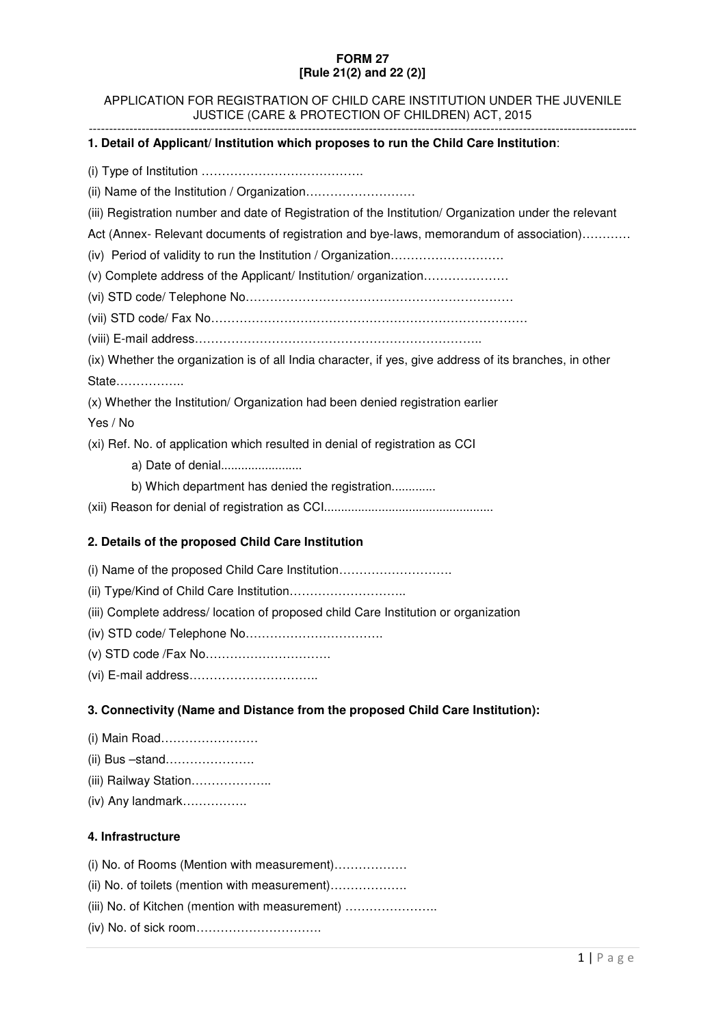#### **FORM 27 [Rule 21(2) and 22 (2)]**

### APPLICATION FOR REGISTRATION OF CHILD CARE INSTITUTION UNDER THE JUVENILE JUSTICE (CARE & PROTECTION OF CHILDREN) ACT, 2015

**1. Detail of Applicant/ Institution which proposes to run the Child Care Institution**:

- (i) Type of Institution ………………………………….
- (ii) Name of the Institution / Organization………………………
- (iii) Registration number and date of Registration of the Institution/ Organization under the relevant
- Act (Annex- Relevant documents of registration and bye-laws, memorandum of association)…………
- (iv) Period of validity to run the Institution / Organization……………………….
- (v) Complete address of the Applicant/ Institution/ organization…………………
- (vi) STD code/ Telephone No…………………………………………………………
- (vii) STD code/ Fax No……………………………………………………………………
- (viii) E-mail address……………………………………………………………..
- (ix) Whether the organization is of all India character, if yes, give address of its branches, in other State……………..
- (x) Whether the Institution/ Organization had been denied registration earlier
- Yes / No
- (xi) Ref. No. of application which resulted in denial of registration as CCI
	- a) Date of denial.........................
	- b) Which department has denied the registration.............
- (xii) Reason for denial of registration as CCI..................................................

## **2. Details of the proposed Child Care Institution**

- (i) Name of the proposed Child Care Institution……………………….
- (ii) Type/Kind of Child Care Institution………………………..
- (iii) Complete address/ location of proposed child Care Institution or organization
- (iv) STD code/ Telephone No…………………………….
- (v) STD code /Fax No………………………….

(vi) E-mail address…………………………..

### **3. Connectivity (Name and Distance from the proposed Child Care Institution):**

- (i) Main Road……………………
- (ii) Bus –stand………………….
- (iii) Railway Station………………..
- (iv) Any landmark…………….

### **4. Infrastructure**

(i) No. of Rooms (Mention with measurement)………………

- (ii) No. of toilets (mention with measurement)……………….
- (iii) No. of Kitchen (mention with measurement) …………………..
- (iv) No. of sick room………………………….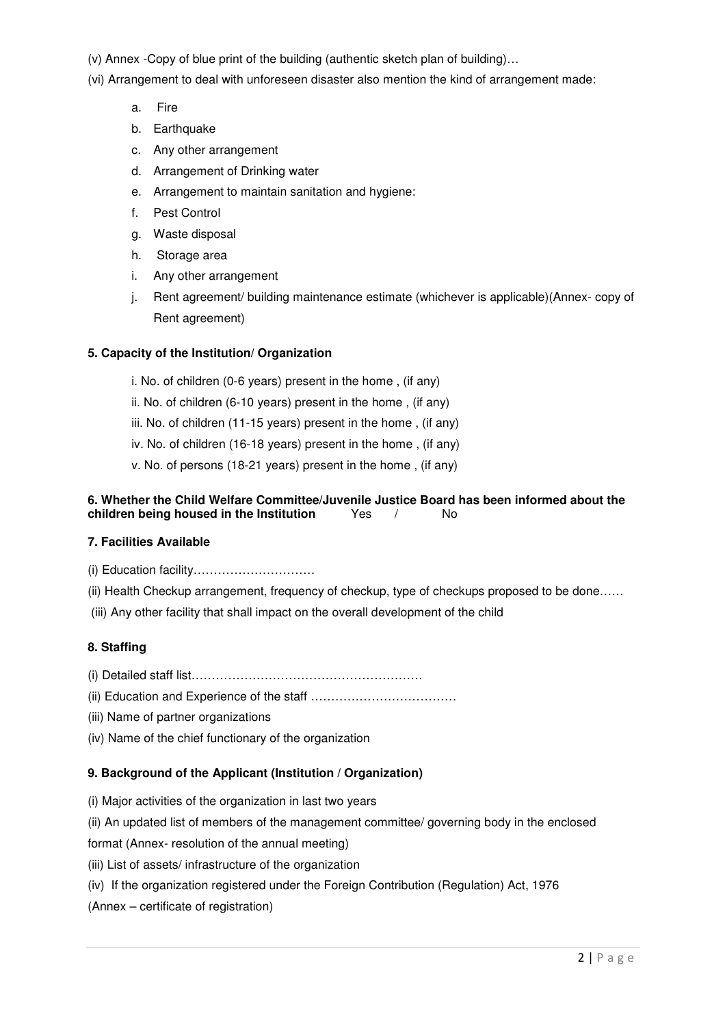- (v) Annex -Copy of blue print of the building (authentic sketch plan of building)…
- (vi) Arrangement to deal with unforeseen disaster also mention the kind of arrangement made:
	- a. Fire
	- b. Earthquake
	- c. Any other arrangement
	- d. Arrangement of Drinking water
	- e. Arrangement to maintain sanitation and hygiene:
	- f. Pest Control
	- g. Waste disposal
	- h. Storage area
	- i. Any other arrangement
	- j. Rent agreement/ building maintenance estimate (whichever is applicable)(Annex- copy of Rent agreement)

## **5. Capacity of the Institution/ Organization**

- i. No. of children (0-6 years) present in the home , (if any)
- ii. No. of children (6-10 years) present in the home , (if any)
- iii. No. of children (11-15 years) present in the home , (if any)
- iv. No. of children (16-18 years) present in the home , (if any)
- v. No. of persons (18-21 years) present in the home , (if any)

## **6. Whether the Child Welfare Committee/Juvenile Justice Board has been informed about the children being housed in the Institution children being housed in the Institution** Yes /

## **7. Facilities Available**

- (i) Education facility…………………………
- (ii) Health Checkup arrangement, frequency of checkup, type of checkups proposed to be done……
- (iii) Any other facility that shall impact on the overall development of the child

# **8. Staffing**

- (i) Detailed staff list…………………………………………………
- (ii) Education and Experience of the staff ………………………………
- (iii) Name of partner organizations
- (iv) Name of the chief functionary of the organization

## **9. Background of the Applicant (Institution / Organization)**

- (i) Major activities of the organization in last two years
- (ii) An updated list of members of the management committee/ governing body in the enclosed

format (Annex- resolution of the annual meeting)

- (iii) List of assets/ infrastructure of the organization
- (iv) If the organization registered under the Foreign Contribution (Regulation) Act, 1976
- (Annex certificate of registration)